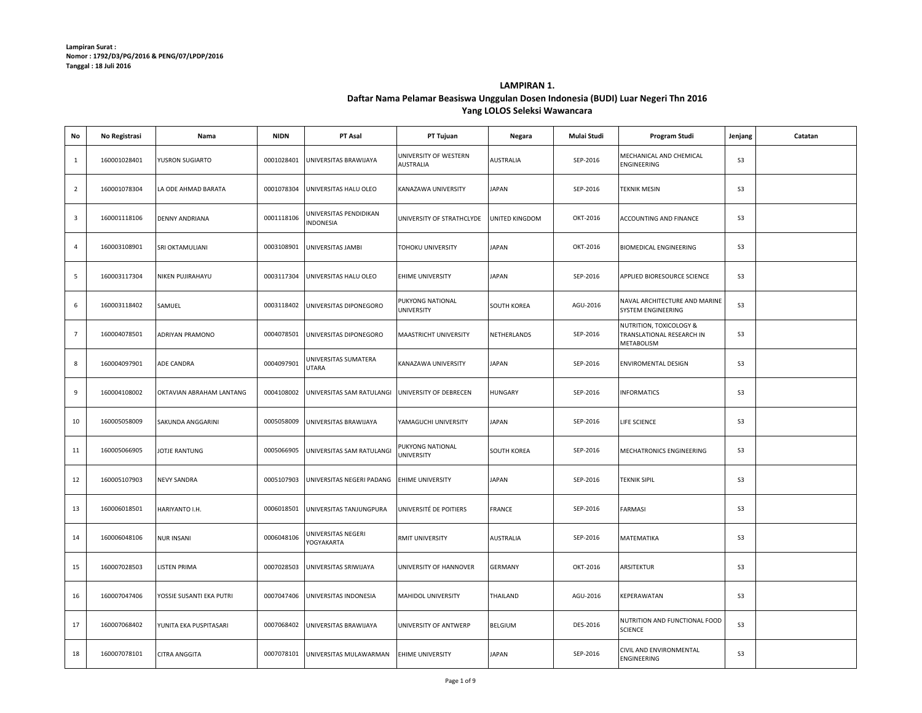## **Daftar Nama Pelamar Beasiswa Unggulan Dosen Indonesia (BUDI) Luar Negeri Thn 2016 Yang LOLOS Seleksi Wawancara LAMPIRAN 1.**

| No                      | No Registrasi | Nama                     | <b>NIDN</b> | PT Asal                             | PT Tujuan                                 | Negara           | Mulai Studi | Program Studi                                                      | Jenjang        | Catatan |
|-------------------------|---------------|--------------------------|-------------|-------------------------------------|-------------------------------------------|------------------|-------------|--------------------------------------------------------------------|----------------|---------|
| $\mathbf{1}$            | 160001028401  | YUSRON SUGIARTO          | 0001028401  | UNIVERSITAS BRAWIJAYA               | UNIVERSITY OF WESTERN<br><b>AUSTRALIA</b> | AUSTRALIA        | SEP-2016    | MECHANICAL AND CHEMICAL<br>ENGINEERING                             | S <sub>3</sub> |         |
| $\overline{2}$          | 160001078304  | LA ODE AHMAD BARATA      | 0001078304  | UNIVERSITAS HALU OLEO               | KANAZAWA UNIVERSITY                       | <b>JAPAN</b>     | SEP-2016    | <b>TEKNIK MESIN</b>                                                | S <sub>3</sub> |         |
| $\overline{\mathbf{3}}$ | 160001118106  | <b>DENNY ANDRIANA</b>    | 0001118106  | UNIVERSITAS PENDIDIKAN<br>INDONESIA | UNIVERSITY OF STRATHCLYDE                 | UNITED KINGDOM   | OKT-2016    | ACCOUNTING AND FINANCE                                             | S <sub>3</sub> |         |
| $\overline{4}$          | 160003108901  | SRI OKTAMULIANI          | 0003108901  | UNIVERSITAS JAMBI                   | TOHOKU UNIVERSITY                         | <b>JAPAN</b>     | OKT-2016    | <b>BIOMEDICAL ENGINEERING</b>                                      | <b>S3</b>      |         |
| $5\phantom{.0}$         | 160003117304  | NIKEN PUJIRAHAYU         | 0003117304  | UNIVERSITAS HALU OLEO               | EHIME UNIVERSITY                          | <b>JAPAN</b>     | SEP-2016    | APPLIED BIORESOURCE SCIENCE                                        | S <sub>3</sub> |         |
| 6                       | 160003118402  | SAMUEL                   | 0003118402  | UNIVERSITAS DIPONEGORO              | PUKYONG NATIONAL<br><b>UNIVERSITY</b>     | SOUTH KOREA      | AGU-2016    | NAVAL ARCHITECTURE AND MARINE<br>SYSTEM ENGINEERING                | S <sub>3</sub> |         |
| $\overline{7}$          | 160004078501  | ADRIYAN PRAMONO          | 0004078501  | UNIVERSITAS DIPONEGORO              | MAASTRICHT UNIVERSITY                     | NETHERLANDS      | SEP-2016    | NUTRITION, TOXICOLOGY &<br>TRANSLATIONAL RESEARCH IN<br>METABOLISM | S <sub>3</sub> |         |
| 8                       | 160004097901  | ADE CANDRA               | 0004097901  | UNIVERSITAS SUMATERA<br>UTARA       | KANAZAWA UNIVERSITY                       | <b>JAPAN</b>     | SEP-2016    | ENVIROMENTAL DESIGN                                                | <b>S3</b>      |         |
| 9                       | 160004108002  | OKTAVIAN ABRAHAM LANTANG | 0004108002  | UNIVERSITAS SAM RATULANGI           | UNIVERSITY OF DEBRECEN                    | <b>HUNGARY</b>   | SEP-2016    | <b>INFORMATICS</b>                                                 | S <sub>3</sub> |         |
| 10                      | 160005058009  | SAKUNDA ANGGARINI        | 0005058009  | UNIVERSITAS BRAWIJAYA               | YAMAGUCHI UNIVERSITY                      | <b>JAPAN</b>     | SEP-2016    | LIFE SCIENCE                                                       | S <sub>3</sub> |         |
| 11                      | 160005066905  | JOTJE RANTUNG            | 0005066905  | UNIVERSITAS SAM RATULANGI           | PUKYONG NATIONAL<br><b>UNIVERSITY</b>     | SOUTH KOREA      | SEP-2016    | MECHATRONICS ENGINEERING                                           | S <sub>3</sub> |         |
| 12                      | 160005107903  | <b>NEVY SANDRA</b>       | 0005107903  | UNIVERSITAS NEGERI PADANG           | <b>EHIME UNIVERSITY</b>                   | <b>JAPAN</b>     | SEP-2016    | <b>TEKNIK SIPIL</b>                                                | S <sub>3</sub> |         |
| 13                      | 160006018501  | HARIYANTO I.H.           | 0006018501  | UNIVERSITAS TANJUNGPURA             | UNIVERSITÉ DE POITIERS                    | FRANCE           | SEP-2016    | FARMASI                                                            | S <sub>3</sub> |         |
| 14                      | 160006048106  | <b>NUR INSANI</b>        | 0006048106  | UNIVERSITAS NEGERI<br>YOGYAKARTA    | RMIT UNIVERSITY                           | <b>AUSTRALIA</b> | SEP-2016    | MATEMATIKA                                                         | S <sub>3</sub> |         |
| 15                      | 160007028503  | <b>LISTEN PRIMA</b>      | 0007028503  | UNIVERSITAS SRIWIJAYA               | UNIVERSITY OF HANNOVER                    | <b>GERMANY</b>   | OKT-2016    | <b>ARSITEKTUR</b>                                                  | S3             |         |
| 16                      | 160007047406  | YOSSIE SUSANTI EKA PUTRI | 0007047406  | UNIVERSITAS INDONESIA               | MAHIDOL UNIVERSITY                        | THAILAND         | AGU-2016    | KEPERAWATAN                                                        | S <sub>3</sub> |         |
| 17                      | 160007068402  | YUNITA EKA PUSPITASARI   | 0007068402  | UNIVERSITAS BRAWIJAYA               | UNIVERSITY OF ANTWERP                     | <b>BELGIUM</b>   | DES-2016    | NUTRITION AND FUNCTIONAL FOOD<br><b>SCIENCE</b>                    | S <sub>3</sub> |         |
| 18                      | 160007078101  | <b>CITRA ANGGITA</b>     | 0007078101  | UNIVERSITAS MULAWARMAN              | <b>EHIME UNIVERSITY</b>                   | <b>JAPAN</b>     | SEP-2016    | CIVIL AND ENVIRONMENTAL<br>ENGINEERING                             | S <sub>3</sub> |         |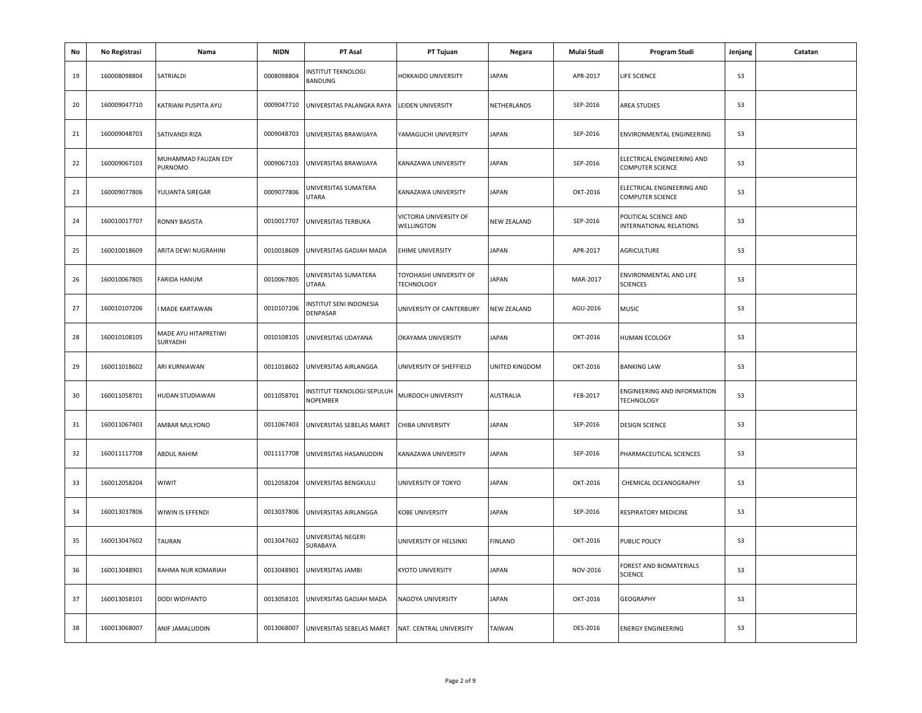| No | No Registrasi | Nama                             | <b>NIDN</b> | PT Asal                                           | PT Tujuan                                    | Negara         | Mulai Studi | Program Studi                                         | Jenjang        | Catatan |
|----|---------------|----------------------------------|-------------|---------------------------------------------------|----------------------------------------------|----------------|-------------|-------------------------------------------------------|----------------|---------|
| 19 | 160008098804  | SATRIALDI                        | 0008098804  | <b>INSTITUT TEKNOLOGI</b><br>BANDUNG              | HOKKAIDO UNIVERSITY                          | <b>JAPAN</b>   | APR-2017    | LIFE SCIENCE                                          | S <sub>3</sub> |         |
| 20 | 160009047710  | KATRIANI PUSPITA AYU             | 0009047710  | UNIVERSITAS PALANGKA RAYA                         | LEIDEN UNIVERSITY                            | NETHERLANDS    | SEP-2016    | AREA STUDIES                                          | S <sub>3</sub> |         |
| 21 | 160009048703  | SATIVANDI RIZA                   | 0009048703  | UNIVERSITAS BRAWIJAYA                             | YAMAGUCHI UNIVERSITY                         | JAPAN          | SEP-2016    | ENVIRONMENTAL ENGINEERING                             | S <sub>3</sub> |         |
| 22 | 160009067103  | MUHAMMAD FAUZAN EDY<br>PURNOMO   | 0009067103  | UNIVERSITAS BRAWIJAYA                             | KANAZAWA UNIVERSITY                          | JAPAN          | SEP-2016    | ELECTRICAL ENGINEERING AND<br><b>COMPUTER SCIENCE</b> | S <sub>3</sub> |         |
| 23 | 160009077806  | YULIANTA SIREGAR                 | 0009077806  | UNIVERSITAS SUMATERA<br>UTARA                     | KANAZAWA UNIVERSITY                          | JAPAN          | OKT-2016    | ELECTRICAL ENGINEERING AND<br><b>COMPUTER SCIENCE</b> | S <sub>3</sub> |         |
| 24 | 160010017707  | RONNY BASISTA                    | 0010017707  | UNIVERSITAS TERBUKA                               | VICTORIA UNIVERSITY OF<br>WELLINGTON         | NEW ZEALAND    | SEP-2016    | POLITICAL SCIENCE AND<br>INTERNATIONAL RELATIONS      | S <sub>3</sub> |         |
| 25 | 160010018609  | ARITA DEWI NUGRAHINI             | 0010018609  | UNIVERSITAS GADJAH MADA                           | <b>EHIME UNIVERSITY</b>                      | JAPAN          | APR-2017    | <b>AGRICULTURE</b>                                    | S <sub>3</sub> |         |
| 26 | 160010067805  | FARIDA HANUM                     | 0010067805  | JNIVERSITAS SUMATERA<br>UTARA                     | TOYOHASHI UNIVERSITY OF<br><b>TECHNOLOGY</b> | <b>JAPAN</b>   | MAR-2017    | ENVIRONMENTAL AND LIFE<br><b>SCIENCES</b>             | S <sub>3</sub> |         |
| 27 | 160010107206  | <b>MADE KARTAWAN</b>             | 0010107206  | INSTITUT SENI INDONESIA<br>DENPASAR               | UNIVERSITY OF CANTERBURY                     | NEW ZEALAND    | AGU-2016    | <b>MUSIC</b>                                          | S <sub>3</sub> |         |
| 28 | 160010108105  | MADE AYU HITAPRETIWI<br>SURYADHI | 0010108105  | UNIVERSITAS UDAYANA                               | OKAYAMA UNIVERSITY                           | JAPAN          | OKT-2016    | HUMAN ECOLOGY                                         | S <sub>3</sub> |         |
| 29 | 160011018602  | ARI KURNIAWAN                    | 0011018602  | UNIVERSITAS AIRLANGGA                             | UNIVERSITY OF SHEFFIELD                      | UNITED KINGDOM | OKT-2016    | <b>BANKING LAW</b>                                    | S <sub>3</sub> |         |
| 30 | 160011058701  | HUDAN STUDIAWAN                  | 0011058701  | INSTITUT TEKNOLOGI SEPULUH<br>NOPEMBER            | MURDOCH UNIVERSITY                           | AUSTRALIA      | FEB-2017    | ENGINEERING AND INFORMATION<br><b>TECHNOLOGY</b>      | S <sub>3</sub> |         |
| 31 | 160011067403  | AMBAR MULYONO                    | 0011067403  | JNIVERSITAS SEBELAS MARET                         | CHIBA UNIVERSITY                             | JAPAN          | SEP-2016    | <b>DESIGN SCIENCE</b>                                 | S <sub>3</sub> |         |
| 32 | 160011117708  | <b>ABDUL RAHIM</b>               | 0011117708  | UNIVERSITAS HASANUDDIN                            | KANAZAWA UNIVERSITY                          | JAPAN          | SEP-2016    | PHARMACEUTICAL SCIENCES                               | S <sub>3</sub> |         |
| 33 | 160012058204  | WIWIT                            | 0012058204  | UNIVERSITAS BENGKULU                              | UNIVERSITY OF TOKYO                          | <b>JAPAN</b>   | OKT-2016    | CHEMICAL OCEANOGRAPHY                                 | S <sub>3</sub> |         |
| 34 | 160013037806  | WIWIN IS EFFENDI                 | 0013037806  | UNIVERSITAS AIRLANGGA                             | <b>KOBE UNIVERSITY</b>                       | <b>JAPAN</b>   | SEP-2016    | RESPIRATORY MEDICINE                                  | S3             |         |
| 35 | 160013047602  | TAURAN                           | 0013047602  | UNIVERSITAS NEGERI<br>SURABAYA                    | UNIVERSITY OF HELSINKI                       | FINLAND        | OKT-2016    | PUBLIC POLICY                                         | S <sub>3</sub> |         |
| 36 | 160013048901  | RAHMA NUR KOMARIAH               | 0013048901  | UNIVERSITAS JAMBI                                 | <b>KYOTO UNIVERSITY</b>                      | <b>JAPAN</b>   | NOV-2016    | FOREST AND BIOMATERIALS<br><b>SCIENCE</b>             | S <sub>3</sub> |         |
| 37 | 160013058101  | DODI WIDIYANTO                   | 0013058101  | UNIVERSITAS GADJAH MADA                           | NAGOYA UNIVERSITY                            | <b>JAPAN</b>   | OKT-2016    | <b>GEOGRAPHY</b>                                      | S <sub>3</sub> |         |
| 38 | 160013068007  | ANIF JAMALUDDIN                  | 0013068007  | UNIVERSITAS SEBELAS MARET NAT. CENTRAL UNIVERSITY |                                              | TAIWAN         | DES-2016    | <b>ENERGY ENGINEERING</b>                             | S <sub>3</sub> |         |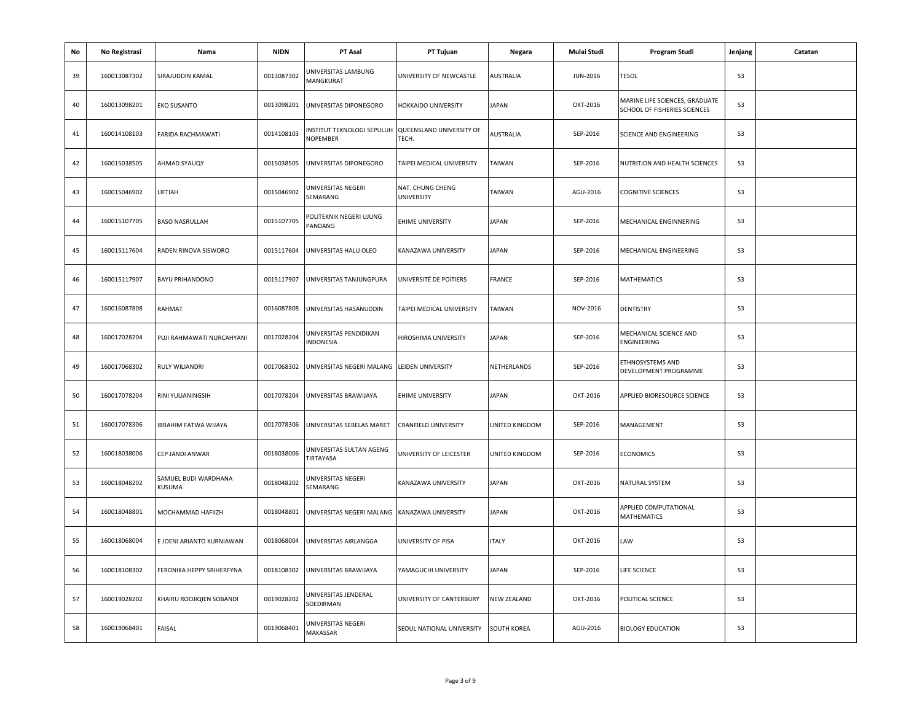| No | No Registrasi | Nama                           | <b>NIDN</b> | PT Asal                                       | PT Tujuan                         | Negara             | Mulai Studi | Program Studi                                                  | Jenjang        | Catatan |
|----|---------------|--------------------------------|-------------|-----------------------------------------------|-----------------------------------|--------------------|-------------|----------------------------------------------------------------|----------------|---------|
| 39 | 160013087302  | SIRAJUDDIN KAMAL               | 0013087302  | UNIVERSITAS LAMBUNG<br><b>MANGKURAT</b>       | UNIVERSITY OF NEWCASTLE           | AUSTRALIA          | JUN-2016    | <b>TESOL</b>                                                   | S <sub>3</sub> |         |
| 40 | 160013098201  | EKO SUSANTO                    | 0013098201  | UNIVERSITAS DIPONEGORO                        | HOKKAIDO UNIVERSITY               | JAPAN              | OKT-2016    | MARINE LIFE SCIENCES, GRADUATE<br>SCHOOL OF FISHERIES SCIENCES | S <sub>3</sub> |         |
| 41 | 160014108103  | FARIDA RACHMAWATI              | 0014108103  | NSTITUT TEKNOLOGI SEPULUH<br>NOPEMBER         | QUEENSLAND UNIVERSITY OF<br>TECH. | AUSTRALIA          | SEP-2016    | SCIENCE AND ENGINEERING                                        | S <sub>3</sub> |         |
| 42 | 160015038505  | AHMAD SYAUQY                   | 0015038505  | UNIVERSITAS DIPONEGORO                        | TAIPEI MEDICAL UNIVERSITY         | TAIWAN             | SEP-2016    | NUTRITION AND HEALTH SCIENCES                                  | S <sub>3</sub> |         |
| 43 | 160015046902  | LIFTIAH                        | 0015046902  | JNIVERSITAS NEGERI<br>SEMARANG                | NAT. CHUNG CHENG<br>UNIVERSITY    | TAIWAN             | AGU-2016    | <b>COGNITIVE SCIENCES</b>                                      | S <sub>3</sub> |         |
| 44 | 160015107705  | <b>BASO NASRULLAH</b>          | 0015107705  | POLITEKNIK NEGERI UJUNG<br>PANDANG            | EHIME UNIVERSITY                  | <b>JAPAN</b>       | SEP-2016    | MECHANICAL ENGINNERING                                         | S <sub>3</sub> |         |
| 45 | 160015117604  | RADEN RINOVA SISWORO           | 0015117604  | UNIVERSITAS HALU OLEO                         | KANAZAWA UNIVERSITY               | <b>JAPAN</b>       | SEP-2016    | MECHANICAL ENGINEERING                                         | S <sub>3</sub> |         |
| 46 | 160015117907  | <b>BAYU PRIHANDONO</b>         | 0015117907  | UNIVERSITAS TANJUNGPURA                       | UNIVERSITÉ DE POITIERS            | FRANCE             | SEP-2016    | MATHEMATICS                                                    | S3             |         |
| 47 | 160016087808  | RAHMAT                         | 0016087808  | UNIVERSITAS HASANUDDIN                        | TAIPEI MEDICAL UNIVERSITY         | TAIWAN             | NOV-2016    | <b>DENTISTRY</b>                                               | S <sub>3</sub> |         |
| 48 | 160017028204  | PUJI RAHMAWATI NURCAHYANI      | 0017028204  | JNIVERSITAS PENDIDIKAN<br>INDONESIA           | HIROSHIMA UNIVERSITY              | <b>JAPAN</b>       | SEP-2016    | MECHANICAL SCIENCE AND<br>ENGINEERING                          | S <sub>3</sub> |         |
| 49 | 160017068302  | RULY WILIANDRI                 | 0017068302  | UNIVERSITAS NEGERI MALANG                     | <b>LEIDEN UNIVERSITY</b>          | NETHERLANDS        | SEP-2016    | ETHNOSYSTEMS AND<br>DEVELOPMENT PROGRAMME                      | S <sub>3</sub> |         |
| 50 | 160017078204  | RINI YULIANINGSIH              | 0017078204  | UNIVERSITAS BRAWIJAYA                         | <b>EHIME UNIVERSITY</b>           | <b>JAPAN</b>       | OKT-2016    | APPLIED BIORESOURCE SCIENCE                                    | S <sub>3</sub> |         |
| 51 | 160017078306  | <b>IBRAHIM FATWA WIJAYA</b>    | 0017078306  | UNIVERSITAS SEBELAS MARET                     | <b>CRANFIELD UNIVERSITY</b>       | UNITED KINGDOM     | SEP-2016    | MANAGEMENT                                                     | S <sub>3</sub> |         |
| 52 | 160018038006  | CEP JANDI ANWAR                | 0018038006  | UNIVERSITAS SULTAN AGENG<br>TIRTAYASA         | UNIVERSITY OF LEICESTER           | UNITED KINGDOM     | SEP-2016    | <b>ECONOMICS</b>                                               | S <sub>3</sub> |         |
| 53 | 160018048202  | SAMUEL BUDI WARDHANA<br>KUSUMA | 0018048202  | JNIVERSITAS NEGERI<br>SEMARANG                | KANAZAWA UNIVERSITY               | JAPAN              | OKT-2016    | NATURAL SYSTEM                                                 | S3             |         |
| 54 | 160018048801  | MOCHAMMAD HAFIIZH              | 0018048801  | UNIVERSITAS NEGERI MALANG KANAZAWA UNIVERSITY |                                   | <b>JAPAN</b>       | OKT-2016    | APPLIED COMPUTATIONAL<br>MATHEMATICS                           | S <sub>3</sub> |         |
| 55 | 160018068004  | E JOENI ARIANTO KURNIAWAN      | 0018068004  | UNIVERSITAS AIRLANGGA                         | UNIVERSITY OF PISA                | <b>ITALY</b>       | OKT-2016    | LAW                                                            | S <sub>3</sub> |         |
| 56 | 160018108302  | FERONIKA HEPPY SRIHERFYNA      | 0018108302  | UNIVERSITAS BRAWIJAYA                         | YAMAGUCHI UNIVERSITY              | <b>JAPAN</b>       | SEP-2016    | LIFE SCIENCE                                                   | S <sub>3</sub> |         |
| 57 | 160019028202  | KHAIRU ROOJIQIEN SOBANDI       | 0019028202  | JNIVERSITAS JENDERAL<br>SOEDIRMAN             | UNIVERSITY OF CANTERBURY          | <b>NEW ZEALAND</b> | OKT-2016    | POLITICAL SCIENCE                                              | S <sub>3</sub> |         |
| 58 | 160019068401  | FAISAL                         | 0019068401  | JNIVERSITAS NEGERI<br>MAKASSAR                | SEOUL NATIONAL UNIVERSITY         | <b>SOUTH KOREA</b> | AGU-2016    | <b>BIOLOGY EDUCATION</b>                                       | S <sub>3</sub> |         |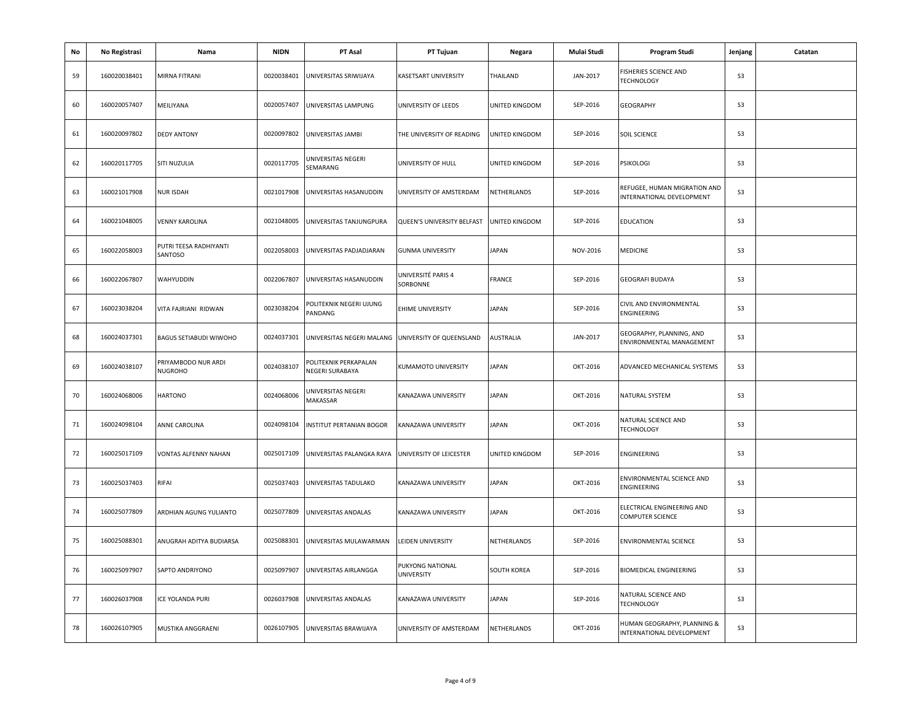| No | No Registrasi | Nama                              | <b>NIDN</b> | PT Asal                                            | PT Tujuan                             | Negara         | Mulai Studi | Program Studi                                             | Jenjang        | Catatan |
|----|---------------|-----------------------------------|-------------|----------------------------------------------------|---------------------------------------|----------------|-------------|-----------------------------------------------------------|----------------|---------|
| 59 | 160020038401  | MIRNA FITRANI                     | 0020038401  | UNIVERSITAS SRIWIJAYA                              | KASETSART UNIVERSITY                  | THAILAND       | JAN-2017    | <b>FISHERIES SCIENCE AND</b><br><b>TECHNOLOGY</b>         | S <sub>3</sub> |         |
| 60 | 160020057407  | MEILIYANA                         | 0020057407  | UNIVERSITAS LAMPUNG                                | UNIVERSITY OF LEEDS                   | UNITED KINGDOM | SEP-2016    | <b>GEOGRAPHY</b>                                          | S <sub>3</sub> |         |
| 61 | 160020097802  | <b>DEDY ANTONY</b>                | 0020097802  | UNIVERSITAS JAMBI                                  | THE UNIVERSITY OF READING             | UNITED KINGDOM | SEP-2016    | <b>SOIL SCIENCE</b>                                       | S <sub>3</sub> |         |
| 62 | 160020117705  | SITI NUZULIA                      | 0020117705  | UNIVERSITAS NEGERI<br>SEMARANG                     | UNIVERSITY OF HULL                    | UNITED KINGDOM | SEP-2016    | <b>PSIKOLOGI</b>                                          | S <sub>3</sub> |         |
| 63 | 160021017908  | NUR ISDAH                         | 0021017908  | UNIVERSITAS HASANUDDIN                             | UNIVERSITY OF AMSTERDAM               | NETHERLANDS    | SEP-2016    | REFUGEE, HUMAN MIGRATION AND<br>INTERNATIONAL DEVELOPMENT | S <sub>3</sub> |         |
| 64 | 160021048005  | <b>VENNY KAROLINA</b>             | 0021048005  | UNIVERSITAS TANJUNGPURA                            | QUEEN'S UNIVERSITY BELFAST            | UNITED KINGDOM | SEP-2016    | <b>EDUCATION</b>                                          | S <sub>3</sub> |         |
| 65 | 160022058003  | PUTRI TEESA RADHIYANTI<br>SANTOSO | 0022058003  | UNIVERSITAS PADJADJARAN                            | <b>GUNMA UNIVERSITY</b>               | JAPAN          | NOV-2016    | <b>MEDICINE</b>                                           | S <sub>3</sub> |         |
| 66 | 160022067807  | WAHYUDDIN                         | 0022067807  | UNIVERSITAS HASANUDDIN                             | UNIVERSITÉ PARIS 4<br>SORBONNE        | FRANCE         | SEP-2016    | <b>GEOGRAFI BUDAYA</b>                                    | S <sub>3</sub> |         |
| 67 | 160023038204  | VITA FAJRIANI RIDWAN              | 0023038204  | POLITEKNIK NEGERI UJUNG<br>PANDANG                 | <b>EHIME UNIVERSITY</b>               | <b>JAPAN</b>   | SEP-2016    | CIVIL AND ENVIRONMENTAL<br>ENGINEERING                    | S <sub>3</sub> |         |
| 68 | 160024037301  | <b>BAGUS SETIABUDI WIWOHO</b>     | 0024037301  | UNIVERSITAS NEGERI MALANG UNIVERSITY OF QUEENSLAND |                                       | AUSTRALIA      | JAN-2017    | GEOGRAPHY, PLANNING, AND<br>ENVIRONMENTAL MANAGEMENT      | S <sub>3</sub> |         |
| 69 | 160024038107  | PRIYAMBODO NUR ARDI<br>NUGROHO    | 0024038107  | POLITEKNIK PERKAPALAN<br>NEGERI SURABAYA           | KUMAMOTO UNIVERSITY                   | JAPAN          | OKT-2016    | ADVANCED MECHANICAL SYSTEMS                               | S <sub>3</sub> |         |
| 70 | 160024068006  | <b>HARTONO</b>                    | 0024068006  | JNIVERSITAS NEGERI<br>MAKASSAR                     | KANAZAWA UNIVERSITY                   | <b>JAPAN</b>   | OKT-2016    | NATURAL SYSTEM                                            | S <sub>3</sub> |         |
| 71 | 160024098104  | ANNE CAROLINA                     | 0024098104  | <b>INSTITUT PERTANIAN BOGOR</b>                    | KANAZAWA UNIVERSITY                   | <b>JAPAN</b>   | OKT-2016    | NATURAL SCIENCE AND<br><b>TECHNOLOGY</b>                  | S <sub>3</sub> |         |
| 72 | 160025017109  | VONTAS ALFENNY NAHAN              | 0025017109  | UNIVERSITAS PALANGKA RAYA UNIVERSITY OF LEICESTER  |                                       | UNITED KINGDOM | SEP-2016    | ENGINEERING                                               | S <sub>3</sub> |         |
| 73 | 160025037403  | RIFAI                             | 0025037403  | UNIVERSITAS TADULAKO                               | KANAZAWA UNIVERSITY                   | <b>JAPAN</b>   | OKT-2016    | ENVIRONMENTAL SCIENCE AND<br>ENGINEERING                  | S <sub>3</sub> |         |
| 74 | 160025077809  | ARDHIAN AGUNG YULIANTO            | 0025077809  | UNIVERSITAS ANDALAS                                | KANAZAWA UNIVERSITY                   | <b>JAPAN</b>   | OKT-2016    | ELECTRICAL ENGINEERING AND<br><b>COMPUTER SCIENCE</b>     | S <sub>3</sub> |         |
| 75 | 160025088301  | ANUGRAH ADITYA BUDIARSA           | 0025088301  | UNIVERSITAS MULAWARMAN                             | LEIDEN UNIVERSITY                     | NETHERLANDS    | SEP-2016    | <b>ENVIRONMENTAL SCIENCE</b>                              | S <sub>3</sub> |         |
| 76 | 160025097907  | SAPTO ANDRIYONO                   | 0025097907  | UNIVERSITAS AIRLANGGA                              | PUKYONG NATIONAL<br><b>UNIVERSITY</b> | SOUTH KOREA    | SEP-2016    | <b>BIOMEDICAL ENGINEERING</b>                             | S <sub>3</sub> |         |
| 77 | 160026037908  | ICE YOLANDA PURI                  | 0026037908  | UNIVERSITAS ANDALAS                                | KANAZAWA UNIVERSITY                   | <b>JAPAN</b>   | SEP-2016    | NATURAL SCIENCE AND<br><b>TECHNOLOGY</b>                  | S <sub>3</sub> |         |
| 78 | 160026107905  | MUSTIKA ANGGRAENI                 | 0026107905  | UNIVERSITAS BRAWIJAYA                              | UNIVERSITY OF AMSTERDAM               | NETHERLANDS    | OKT-2016    | HUMAN GEOGRAPHY, PLANNING &<br>INTERNATIONAL DEVELOPMENT  | S <sub>3</sub> |         |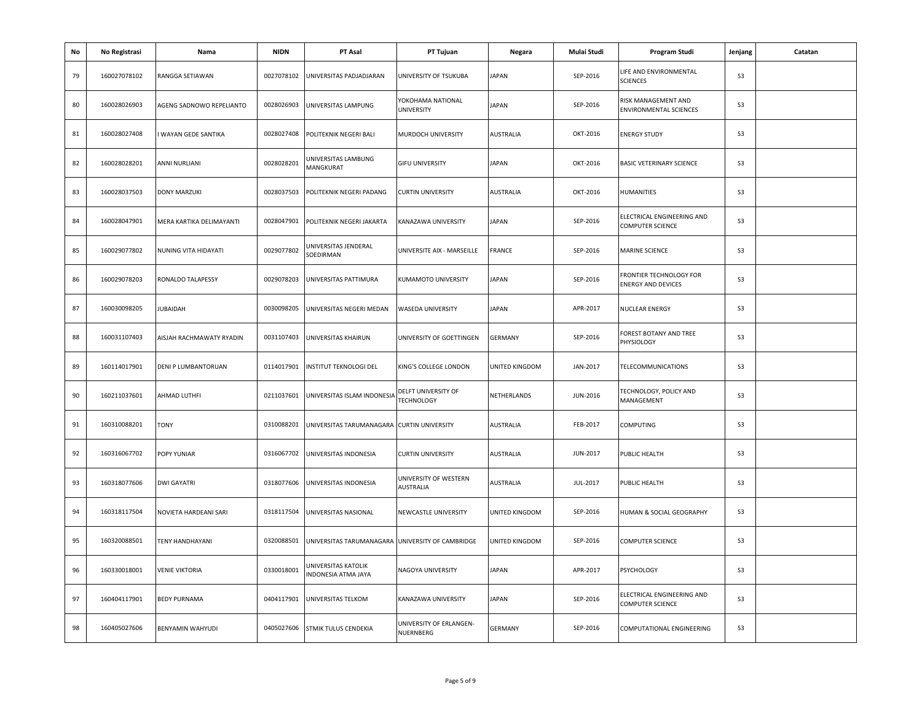| No | No Registrasi | Nama                     | <b>NIDN</b> | PT Asal                                          | PT Tujuan                                 | Negara         | Mulai Studi | Program Studi                                        | Jenjang        | Catatan |
|----|---------------|--------------------------|-------------|--------------------------------------------------|-------------------------------------------|----------------|-------------|------------------------------------------------------|----------------|---------|
| 79 | 160027078102  | RANGGA SETIAWAN          | 0027078102  | UNIVERSITAS PADJADJARAN                          | UNIVERSITY OF TSUKUBA                     | <b>JAPAN</b>   | SEP-2016    | LIFE AND ENVIRONMENTAL<br><b>SCIENCES</b>            | S <sub>3</sub> |         |
| 80 | 160028026903  | AGENG SADNOWO REPELIANTO | 0028026903  | UNIVERSITAS LAMPUNG                              | YOKOHAMA NATIONAL<br>UNIVERSITY           | JAPAN          | SEP-2016    | RISK MANAGEMENT AND<br>ENVIRONMENTAL SCIENCES        | S <sub>3</sub> |         |
| 81 | 160028027408  | WAYAN GEDE SANTIKA       | 0028027408  | POLITEKNIK NEGERI BALI                           | MURDOCH UNIVERSITY                        | AUSTRALIA      | OKT-2016    | <b>ENERGY STUDY</b>                                  | S <sub>3</sub> |         |
| 82 | 160028028201  | ANNI NURLIANI            | 0028028201  | UNIVERSITAS LAMBUNG<br>MANGKURAT                 | <b>GIFU UNIVERSITY</b>                    | JAPAN          | OKT-2016    | BASIC VETERINARY SCIENCE                             | S <sub>3</sub> |         |
| 83 | 160028037503  | <b>DONY MARZUKI</b>      | 0028037503  | POLITEKNIK NEGERI PADANG                         | <b>CURTIN UNIVERSITY</b>                  | AUSTRALIA      | OKT-2016    | HUMANITIES                                           | S <sub>3</sub> |         |
| 84 | 160028047901  | MERA KARTIKA DELIMAYANTI | 0028047901  | POLITEKNIK NEGERI JAKARTA                        | KANAZAWA UNIVERSITY                       | JAPAN          | SEP-2016    | ELECTRICAL ENGINEERING AND<br>COMPUTER SCIENCE       | S <sub>3</sub> |         |
| 85 | 160029077802  | NUNING VITA HIDAYATI     | 0029077802  | UNIVERSITAS JENDERAL<br>SOEDIRMAN                | UNIVERSITE AIX - MARSEILLE                | FRANCE         | SEP-2016    | MARINE SCIENCE                                       | S <sub>3</sub> |         |
| 86 | 160029078203  | RONALDO TALAPESSY        | 0029078203  | UNIVERSITAS PATTIMURA                            | KUMAMOTO UNIVERSITY                       | JAPAN          | SEP-2016    | FRONTIER TECHNOLOGY FOR<br><b>ENERGY AND DEVICES</b> | S <sub>3</sub> |         |
| 87 | 160030098205  | <b>JUBAIDAH</b>          | 0030098205  | UNIVERSITAS NEGERI MEDAN                         | WASEDA UNIVERSITY                         | <b>JAPAN</b>   | APR-2017    | NUCLEAR ENERGY                                       | S <sub>3</sub> |         |
| 88 | 160031107403  | AISJAH RACHMAWATY RYADIN | 0031107403  | UNIVERSITAS KHAIRUN                              | UNIVERSITY OF GOETTINGEN                  | <b>GERMANY</b> | SEP-2016    | FOREST BOTANY AND TREE<br>PHYSIOLOGY                 | S <sub>3</sub> |         |
| 89 | 160114017901  | DENI P LUMBANTORUAN      | 0114017901  | INSTITUT TEKNOLOGI DEL                           | KING'S COLLEGE LONDON                     | UNITED KINGDOM | JAN-2017    | TELECOMMUNICATIONS                                   | S <sub>3</sub> |         |
| 90 | 160211037601  | AHMAD LUTHFI             | 0211037601  | UNIVERSITAS ISLAM INDONESIA                      | DELFT UNIVERSITY OF<br><b>TECHNOLOGY</b>  | NETHERLANDS    | JUN-2016    | TECHNOLOGY, POLICY AND<br>MANAGEMENT                 | S <sub>3</sub> |         |
| 91 | 160310088201  | <b>TONY</b>              | 0310088201  | UNIVERSITAS TARUMANAGARA CURTIN UNIVERSITY       |                                           | AUSTRALIA      | FEB-2017    | COMPUTING                                            | S <sub>3</sub> |         |
| 92 | 160316067702  | POPY YUNIAR              | 0316067702  | UNIVERSITAS INDONESIA                            | <b>CURTIN UNIVERSITY</b>                  | AUSTRALIA      | JUN-2017    | PUBLIC HEALTH                                        | S <sub>3</sub> |         |
| 93 | 160318077606  | <b>DWI GAYATRI</b>       | 0318077606  | UNIVERSITAS INDONESIA                            | UNIVERSITY OF WESTERN<br><b>AUSTRALIA</b> | AUSTRALIA      | JUL-2017    | PUBLIC HEALTH                                        | S <sub>3</sub> |         |
| 94 | 160318117504  | NOVIETA HARDEANI SARI    | 0318117504  | UNIVERSITAS NASIONAL                             | NEWCASTLE UNIVERSITY                      | UNITED KINGDOM | SEP-2016    | HUMAN & SOCIAL GEOGRAPHY                             | S <sub>3</sub> |         |
| 95 | 160320088501  | TENY HANDHAYANI          | 0320088501  | UNIVERSITAS TARUMANAGARA UNIVERSITY OF CAMBRIDGE |                                           | UNITED KINGDOM | SEP-2016    | COMPUTER SCIENCE                                     | S <sub>3</sub> |         |
| 96 | 160330018001  | <b>VENIE VIKTORIA</b>    | 0330018001  | UNIVERSITAS KATOLIK<br>INDONESIA ATMA JAYA       | NAGOYA UNIVERSITY                         | JAPAN          | APR-2017    | PSYCHOLOGY                                           | S <sub>3</sub> |         |
| 97 | 160404117901  | <b>BEDY PURNAMA</b>      | 0404117901  | UNIVERSITAS TELKOM                               | KANAZAWA UNIVERSITY                       | JAPAN          | SEP-2016    | ELECTRICAL ENGINEERING AND<br>COMPUTER SCIENCE       | S <sub>3</sub> |         |
| 98 | 160405027606  | BENYAMIN WAHYUDI         |             | 0405027606 STMIK TULUS CENDEKIA                  | UNIVERSITY OF ERLANGEN-<br>NUERNBERG      | <b>GERMANY</b> | SEP-2016    | COMPUTATIONAL ENGINEERING                            | S <sub>3</sub> |         |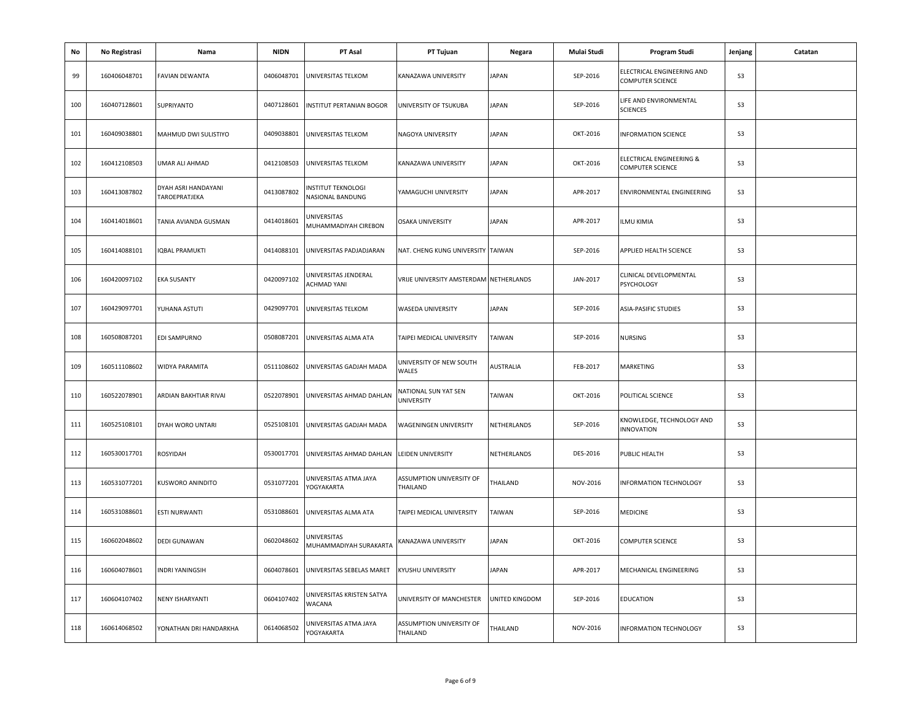| No  | No Registrasi | Nama                                 | <b>NIDN</b> | PT Asal                                      | PT Tujuan                              | Negara         | Mulai Studi | Program Studi                                  | Jenjang        | Catatan |
|-----|---------------|--------------------------------------|-------------|----------------------------------------------|----------------------------------------|----------------|-------------|------------------------------------------------|----------------|---------|
| 99  | 160406048701  | <b>FAVIAN DEWANTA</b>                | 0406048701  | UNIVERSITAS TELKOM                           | KANAZAWA UNIVERSITY                    | <b>JAPAN</b>   | SEP-2016    | ELECTRICAL ENGINEERING AND<br>COMPUTER SCIENCE | S <sub>3</sub> |         |
| 100 | 160407128601  | SUPRIYANTO                           | 0407128601  | <b>INSTITUT PERTANIAN BOGOR</b>              | UNIVERSITY OF TSUKUBA                  | JAPAN          | SEP-2016    | LIFE AND ENVIRONMENTAL<br><b>SCIENCES</b>      | S <sub>3</sub> |         |
| 101 | 160409038801  | MAHMUD DWI SULISTIYO                 | 0409038801  | UNIVERSITAS TELKOM                           | NAGOYA UNIVERSITY                      | <b>JAPAN</b>   | OKT-2016    | <b>INFORMATION SCIENCE</b>                     | S <sub>3</sub> |         |
| 102 | 160412108503  | UMAR ALI AHMAD                       | 0412108503  | UNIVERSITAS TELKOM                           | KANAZAWA UNIVERSITY                    | JAPAN          | OKT-2016    | ELECTRICAL ENGINEERING &<br>COMPUTER SCIENCE   | S <sub>3</sub> |         |
| 103 | 160413087802  | DYAH ASRI HANDAYANI<br>TAROEPRATJEKA | 0413087802  | INSTITUT TEKNOLOGI<br>NASIONAL BANDUNG       | YAMAGUCHI UNIVERSITY                   | <b>JAPAN</b>   | APR-2017    | ENVIRONMENTAL ENGINEERING                      | S <sub>3</sub> |         |
| 104 | 160414018601  | TANIA AVIANDA GUSMAN                 | 0414018601  | UNIVERSITAS<br>MUHAMMADIYAH CIREBON          | <b>OSAKA UNIVERSITY</b>                | <b>JAPAN</b>   | APR-2017    | ILMU KIMIA                                     | S <sub>3</sub> |         |
| 105 | 160414088101  | <b>IQBAL PRAMUKTI</b>                | 0414088101  | UNIVERSITAS PADJADJARAN                      | NAT. CHENG KUNG UNIVERSITY             | TAIWAN         | SEP-2016    | APPLIED HEALTH SCIENCE                         | S <sub>3</sub> |         |
| 106 | 160420097102  | <b>EKA SUSANTY</b>                   | 0420097102  | JNIVERSITAS JENDERAL<br>ACHMAD YANI          | VRIJE UNIVERSITY AMSTERDAM NETHERLANDS |                | JAN-2017    | CLINICAL DEVELOPMENTAL<br>PSYCHOLOGY           | S <sub>3</sub> |         |
| 107 | 160429097701  | YUHANA ASTUTI                        | 0429097701  | UNIVERSITAS TELKOM                           | WASEDA UNIVERSITY                      | JAPAN          | SEP-2016    | ASIA-PASIFIC STUDIES                           | S <sub>3</sub> |         |
| 108 | 160508087201  | EDI SAMPURNO                         | 0508087201  | UNIVERSITAS ALMA ATA                         | TAIPEI MEDICAL UNIVERSITY              | TAIWAN         | SEP-2016    | NURSING                                        | S <sub>3</sub> |         |
| 109 | 160511108602  | WIDYA PARAMITA                       | 0511108602  | UNIVERSITAS GADJAH MADA                      | UNIVERSITY OF NEW SOUTH<br>WALES       | AUSTRALIA      | FEB-2017    | MARKETING                                      | S <sub>3</sub> |         |
| 110 | 160522078901  | ARDIAN BAKHTIAR RIVAI                | 0522078901  | UNIVERSITAS AHMAD DAHLAN                     | NATIONAL SUN YAT SEN<br>UNIVERSITY     | TAIWAN         | OKT-2016    | POLITICAL SCIENCE                              | S <sub>3</sub> |         |
| 111 | 160525108101  | DYAH WORO UNTARI                     | 0525108101  | UNIVERSITAS GADJAH MADA                      | WAGENINGEN UNIVERSITY                  | NETHERLANDS    | SEP-2016    | KNOWLEDGE, TECHNOLOGY AND<br><b>INNOVATION</b> | S <sub>3</sub> |         |
| 112 | 160530017701  | ROSYIDAH                             | 0530017701  | UNIVERSITAS AHMAD DAHLAN LEIDEN UNIVERSITY   |                                        | NETHERLANDS    | DES-2016    | PUBLIC HEALTH                                  | S <sub>3</sub> |         |
| 113 | 160531077201  | KUSWORO ANINDITO                     | 0531077201  | JNIVERSITAS ATMA JAYA<br>YOGYAKARTA          | ASSUMPTION UNIVERSITY OF<br>THAILAND   | THAILAND       | NOV-2016    | INFORMATION TECHNOLOGY                         | S <sub>3</sub> |         |
| 114 | 160531088601  | ESTI NURWANTI                        | 0531088601  | UNIVERSITAS ALMA ATA                         | TAIPEI MEDICAL UNIVERSITY              | TAIWAN         | SEP-2016    | MEDICINE                                       | S <sub>3</sub> |         |
| 115 | 160602048602  | DEDI GUNAWAN                         | 0602048602  | <b>JNIVERSITAS</b><br>MUHAMMADIYAH SURAKARTA | KANAZAWA UNIVERSITY                    | JAPAN          | OKT-2016    | COMPUTER SCIENCE                               | S <sub>3</sub> |         |
| 116 | 160604078601  | <b>INDRI YANINGSIH</b>               | 0604078601  | UNIVERSITAS SEBELAS MARET                    | KYUSHU UNIVERSITY                      | <b>JAPAN</b>   | APR-2017    | MECHANICAL ENGINEERING                         | S <sub>3</sub> |         |
| 117 | 160604107402  | NENY ISHARYANTI                      | 0604107402  | UNIVERSITAS KRISTEN SATYA<br>WACANA          | UNIVERSITY OF MANCHESTER               | UNITED KINGDOM | SEP-2016    | EDUCATION                                      | S <sub>3</sub> |         |
| 118 | 160614068502  | YONATHAN DRI HANDARKHA               | 0614068502  | JNIVERSITAS ATMA JAYA<br>YOGYAKARTA          | ASSUMPTION UNIVERSITY OF<br>THAILAND   | THAILAND       | NOV-2016    | INFORMATION TECHNOLOGY                         | S <sub>3</sub> |         |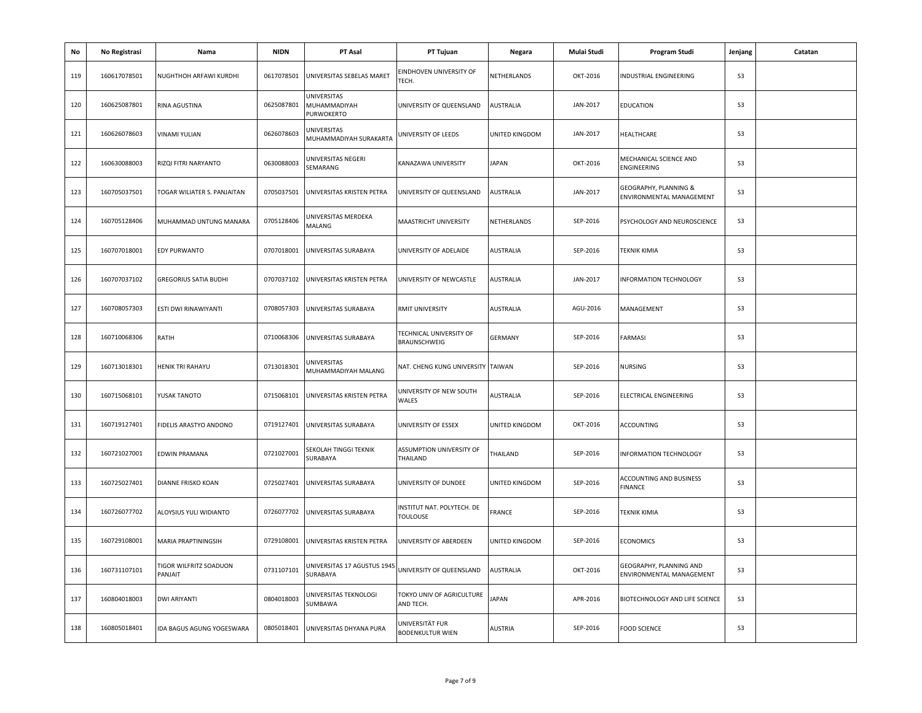| No  | No Registrasi | Nama                              | <b>NIDN</b> | PT Asal                                      | PT Tujuan                                     | Negara         | Mulai Studi | Program Studi                                       | Jenjang        | Catatan |
|-----|---------------|-----------------------------------|-------------|----------------------------------------------|-----------------------------------------------|----------------|-------------|-----------------------------------------------------|----------------|---------|
| 119 | 160617078501  | NUGHTHOH ARFAWI KURDHI            | 0617078501  | UNIVERSITAS SEBELAS MARET                    | EINDHOVEN UNIVERSITY OF<br>TECH.              | NETHERLANDS    | OKT-2016    | INDUSTRIAL ENGINEERING                              | S <sub>3</sub> |         |
| 120 | 160625087801  | RINA AGUSTINA                     | 0625087801  | UNIVERSITAS<br>MUHAMMADIYAH<br>PURWOKERTO    | UNIVERSITY OF QUEENSLAND                      | AUSTRALIA      | JAN-2017    | <b>EDUCATION</b>                                    | S <sub>3</sub> |         |
| 121 | 160626078603  | <b>VINAMI YULIAN</b>              | 0626078603  | <b>JNIVERSITAS</b><br>MUHAMMADIYAH SURAKARTA | UNIVERSITY OF LEEDS                           | UNITED KINGDOM | JAN-2017    | HEALTHCARE                                          | S <sub>3</sub> |         |
| 122 | 160630088003  | RIZQI FITRI NARYANTO              | 0630088003  | JNIVERSITAS NEGERI<br>SEMARANG               | KANAZAWA UNIVERSITY                           | JAPAN          | OKT-2016    | MECHANICAL SCIENCE AND<br>ENGINEERING               | S <sub>3</sub> |         |
| 123 | 160705037501  | TOGAR WILIATER S. PANJAITAN       | 0705037501  | UNIVERSITAS KRISTEN PETRA                    | UNIVERSITY OF QUEENSLAND                      | AUSTRALIA      | JAN-2017    | GEOGRAPHY, PLANNING &<br>ENVIRONMENTAL MANAGEMENT   | S <sub>3</sub> |         |
| 124 | 160705128406  | MUHAMMAD UNTUNG MANARA            | 0705128406  | UNIVERSITAS MERDEKA<br>MALANG                | MAASTRICHT UNIVERSITY                         | NETHERLANDS    | SEP-2016    | PSYCHOLOGY AND NEUROSCIENCE                         | S <sub>3</sub> |         |
| 125 | 160707018001  | EDY PURWANTO                      | 0707018001  | UNIVERSITAS SURABAYA                         | UNIVERSITY OF ADELAIDE                        | AUSTRALIA      | SEP-2016    | TEKNIK KIMIA                                        | S <sub>3</sub> |         |
| 126 | 160707037102  | <b>GREGORIUS SATIA BUDHI</b>      | 0707037102  | JNIVERSITAS KRISTEN PETRA                    | UNIVERSITY OF NEWCASTLE                       | AUSTRALIA      | JAN-2017    | INFORMATION TECHNOLOGY                              | S <sub>3</sub> |         |
| 127 | 160708057303  | ESTI DWI RINAWIYANTI              | 0708057303  | UNIVERSITAS SURABAYA                         | RMIT UNIVERSITY                               | AUSTRALIA      | AGU-2016    | MANAGEMENT                                          | S <sub>3</sub> |         |
| 128 | 160710068306  | <b>RATIH</b>                      | 0710068306  | UNIVERSITAS SURABAYA                         | TECHNICAL UNIVERSITY OF<br>BRAUNSCHWEIG       | <b>GERMANY</b> | SEP-2016    | <b>FARMASI</b>                                      | S <sub>3</sub> |         |
| 129 | 160713018301  | <b>HENIK TRI RAHAYU</b>           | 0713018301  | JNIVERSITAS<br>MUHAMMADIYAH MALANG           | NAT. CHENG KUNG UNIVERSITY TAIWAN             |                | SEP-2016    | NURSING                                             | S3             |         |
| 130 | 160715068101  | YUSAK TANOTO                      | 0715068101  | UNIVERSITAS KRISTEN PETRA                    | UNIVERSITY OF NEW SOUTH<br>WALES              | AUSTRALIA      | SEP-2016    | ELECTRICAL ENGINEERING                              | S <sub>3</sub> |         |
| 131 | 160719127401  | FIDELIS ARASTYO ANDONO            | 0719127401  | JNIVERSITAS SURABAYA                         | UNIVERSITY OF ESSEX                           | UNITED KINGDOM | OKT-2016    | ACCOUNTING                                          | S <sub>3</sub> |         |
| 132 | 160721027001  | <b>EDWIN PRAMANA</b>              | 0721027001  | SEKOLAH TINGGI TEKNIK<br>SURABAYA            | ASSUMPTION UNIVERSITY OF<br>THAILAND          | THAILAND       | SEP-2016    | INFORMATION TECHNOLOGY                              | S <sub>3</sub> |         |
| 133 | 160725027401  | DIANNE FRISKO KOAN                | 0725027401  | UNIVERSITAS SURABAYA                         | UNIVERSITY OF DUNDEE                          | UNITED KINGDOM | SEP-2016    | ACCOUNTING AND BUSINESS<br><b>FINANCE</b>           | S <sub>3</sub> |         |
| 134 | 160726077702  | ALOYSIUS YULI WIDIANTO            | 0726077702  | JNIVERSITAS SURABAYA                         | INSTITUT NAT. POLYTECH. DE<br><b>TOULOUSE</b> | FRANCE         | SEP-2016    | TEKNIK KIMIA                                        | S <sub>3</sub> |         |
| 135 | 160729108001  | MARIA PRAPTININGSIH               | 0729108001  | UNIVERSITAS KRISTEN PETRA                    | UNIVERSITY OF ABERDEEN                        | UNITED KINGDOM | SEP-2016    | <b>ECONOMICS</b>                                    | S <sub>3</sub> |         |
| 136 | 160731107101  | TIGOR WILFRITZ SOADUON<br>PANJAIT | 0731107101  | JNIVERSITAS 17 AGUSTUS 1945<br>SURABAYA      | UNIVERSITY OF QUEENSLAND                      | AUSTRALIA      | OKT-2016    | GEOGRAPHY, PLANNING AND<br>ENVIRONMENTAL MANAGEMENT | S <sub>3</sub> |         |
| 137 | 160804018003  | <b>DWI ARIYANTI</b>               | 0804018003  | UNIVERSITAS TEKNOLOGI<br>SUMBAWA             | TOKYO UNIV OF AGRICULTURE<br>AND TECH.        | <b>JAPAN</b>   | APR-2016    | BIOTECHNOLOGY AND LIFE SCIENCE                      | S <sub>3</sub> |         |
| 138 | 160805018401  | IDA BAGUS AGUNG YOGESWARA         | 0805018401  | UNIVERSITAS DHYANA PURA                      | UNIVERSITÄT FUR<br><b>BODENKULTUR WIEN</b>    | AUSTRIA        | SEP-2016    | <b>FOOD SCIENCE</b>                                 | S3             |         |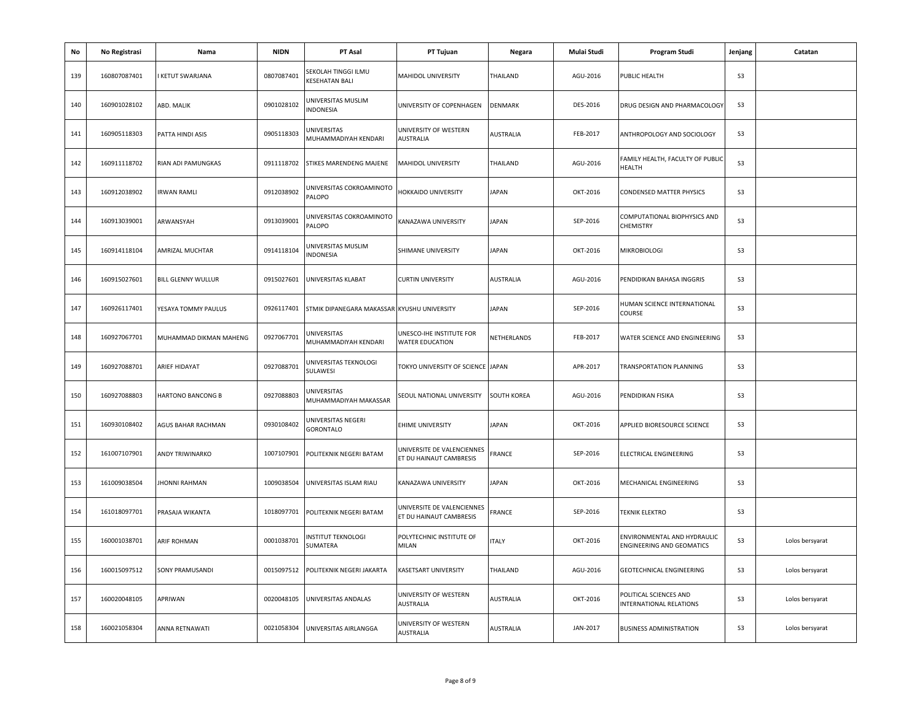| No  | No Registrasi | Nama                   | <b>NIDN</b> | PT Asal                                     | PT Tujuan                                             | Negara       | Mulai Studi | Program Studi                                            | Jenjang        | Catatan         |
|-----|---------------|------------------------|-------------|---------------------------------------------|-------------------------------------------------------|--------------|-------------|----------------------------------------------------------|----------------|-----------------|
| 139 | 160807087401  | <b>KETUT SWARJANA</b>  | 0807087401  | SEKOLAH TINGGI ILMU<br><b>ESEHATAN BALI</b> | MAHIDOL UNIVERSITY                                    | THAILAND     | AGU-2016    | PUBLIC HEALTH                                            | S <sub>3</sub> |                 |
| 140 | 160901028102  | ABD. MALIK             | 0901028102  | UNIVERSITAS MUSLIM<br>INDONESIA             | UNIVERSITY OF COPENHAGEN                              | DENMARK      | DES-2016    | DRUG DESIGN AND PHARMACOLOGY                             | S <sub>3</sub> |                 |
| 141 | 160905118303  | PATTA HINDI ASIS       | 0905118303  | <b>JNIVERSITAS</b><br>MUHAMMADIYAH KENDARI  | UNIVERSITY OF WESTERN<br><b>AUSTRALIA</b>             | AUSTRALIA    | FEB-2017    | ANTHROPOLOGY AND SOCIOLOGY                               | S <sub>3</sub> |                 |
| 142 | 160911118702  | RIAN ADI PAMUNGKAS     | 0911118702  | STIKES MARENDENG MAJENE                     | MAHIDOL UNIVERSITY                                    | THAILAND     | AGU-2016    | FAMILY HEALTH, FACULTY OF PUBLIC<br><b>HEALTH</b>        | S <sub>3</sub> |                 |
| 143 | 160912038902  | <b>IRWAN RAMLI</b>     | 0912038902  | UNIVERSITAS COKROAMINOTO<br><b>PALOPO</b>   | HOKKAIDO UNIVERSITY                                   | <b>JAPAN</b> | OKT-2016    | <b>CONDENSED MATTER PHYSICS</b>                          | S <sub>3</sub> |                 |
| 144 | 160913039001  | ARWANSYAH              | 0913039001  | UNIVERSITAS COKROAMINOTO<br>PALOPO          | KANAZAWA UNIVERSITY                                   | <b>JAPAN</b> | SEP-2016    | COMPUTATIONAL BIOPHYSICS AND<br><b>CHEMISTRY</b>         | S <sub>3</sub> |                 |
| 145 | 160914118104  | AMRIZAL MUCHTAR        | 0914118104  | JNIVERSITAS MUSLIM<br><b>INDONESIA</b>      | SHIMANE UNIVERSITY                                    | <b>JAPAN</b> | OKT-2016    | <b>MIKROBIOLOGI</b>                                      | S <sub>3</sub> |                 |
| 146 | 160915027601  | BILL GLENNY WULLUR     | 0915027601  | UNIVERSITAS KLABAT                          | <b>CURTIN UNIVERSITY</b>                              | AUSTRALIA    | AGU-2016    | PENDIDIKAN BAHASA INGGRIS                                | S <sub>3</sub> |                 |
| 147 | 160926117401  | YESAYA TOMMY PAULUS    | 0926117401  | STMIK DIPANEGARA MAKASSAR KYUSHU UNIVERSITY |                                                       | <b>JAPAN</b> | SEP-2016    | HUMAN SCIENCE INTERNATIONAL<br>COURSE                    | S <sub>3</sub> |                 |
| 148 | 160927067701  | MUHAMMAD DIKMAN MAHENG | 0927067701  | UNIVERSITAS<br>MUHAMMADIYAH KENDARI         | UNESCO-IHE INSTITUTE FOR<br><b>WATER EDUCATION</b>    | NETHERLANDS  | FEB-2017    | WATER SCIENCE AND ENGINEERING                            | S <sub>3</sub> |                 |
| 149 | 160927088701  | ARIEF HIDAYAT          | 0927088701  | UNIVERSITAS TEKNOLOGI<br>SULAWESI           | TOKYO UNIVERSITY OF SCIENCE JAPAN                     |              | APR-2017    | TRANSPORTATION PLANNING                                  | S <sub>3</sub> |                 |
| 150 | 160927088803  | HARTONO BANCONG B      | 0927088803  | <b>JNIVERSITAS</b><br>MUHAMMADIYAH MAKASSAR | SEOUL NATIONAL UNIVERSITY                             | SOUTH KOREA  | AGU-2016    | PENDIDIKAN FISIKA                                        | S <sub>3</sub> |                 |
| 151 | 160930108402  | AGUS BAHAR RACHMAN     | 0930108402  | UNIVERSITAS NEGERI<br><b>GORONTALO</b>      | <b>EHIME UNIVERSITY</b>                               | <b>JAPAN</b> | OKT-2016    | APPLIED BIORESOURCE SCIENCE                              | S <sub>3</sub> |                 |
| 152 | 161007107901  | <b>ANDY TRIWINARKO</b> | 1007107901  | POLITEKNIK NEGERI BATAM                     | UNIVERSITE DE VALENCIENNES<br>ET DU HAINAUT CAMBRESIS | FRANCE       | SEP-2016    | ELECTRICAL ENGINEERING                                   | S <sub>3</sub> |                 |
| 153 | 161009038504  | JHONNI RAHMAN          | 1009038504  | UNIVERSITAS ISLAM RIAU                      | KANAZAWA UNIVERSITY                                   | <b>JAPAN</b> | OKT-2016    | MECHANICAL ENGINEERING                                   | S <sub>3</sub> |                 |
| 154 | 161018097701  | PRASAJA WIKANTA        | 1018097701  | POLITEKNIK NEGERI BATAM                     | UNIVERSITE DE VALENCIENNES<br>ET DU HAINAUT CAMBRESIS | FRANCE       | SEP-2016    | <b>TEKNIK ELEKTRO</b>                                    | S <sub>3</sub> |                 |
| 155 | 160001038701  | ARIF ROHMAN            | 0001038701  | NSTITUT TEKNOLOGI<br>SUMATERA               | POLYTECHNIC INSTITUTE OF<br>MILAN                     | <b>ITALY</b> | OKT-2016    | ENVIRONMENTAL AND HYDRAULIC<br>ENGINEERING AND GEOMATICS | S <sub>3</sub> | Lolos bersyarat |
| 156 | 160015097512  | SONY PRAMUSANDI        | 0015097512  | POLITEKNIK NEGERI JAKARTA                   | <b>KASETSART UNIVERSITY</b>                           | THAILAND     | AGU-2016    | <b>GEOTECHNICAL ENGINEERING</b>                          | S <sub>3</sub> | Lolos bersyarat |
| 157 | 160020048105  | APRIWAN                | 0020048105  | UNIVERSITAS ANDALAS                         | UNIVERSITY OF WESTERN<br>AUSTRALIA                    | AUSTRALIA    | OKT-2016    | POLITICAL SCIENCES AND<br><b>INTERNATIONAL RELATIONS</b> | S <sub>3</sub> | Lolos bersyarat |
| 158 | 160021058304  | ANNA RETNAWATI         | 0021058304  | UNIVERSITAS AIRLANGGA                       | UNIVERSITY OF WESTERN<br><b>AUSTRALIA</b>             | AUSTRALIA    | JAN-2017    | <b>BUSINESS ADMINISTRATION</b>                           | S <sub>3</sub> | Lolos bersyarat |